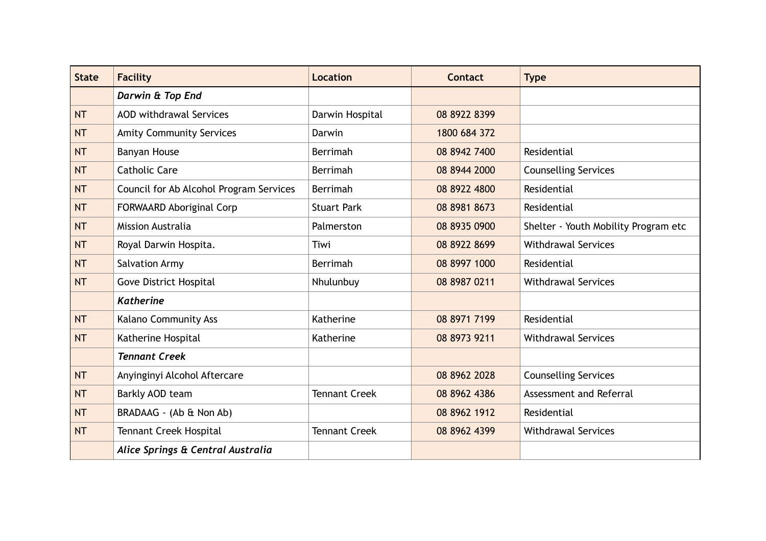| <b>State</b> | <b>Facility</b>                         | <b>Location</b>      | <b>Contact</b> | <b>Type</b>                          |
|--------------|-----------------------------------------|----------------------|----------------|--------------------------------------|
|              | Darwin & Top End                        |                      |                |                                      |
| <b>NT</b>    | <b>AOD withdrawal Services</b>          | Darwin Hospital      | 08 8922 8399   |                                      |
| <b>NT</b>    | <b>Amity Community Services</b>         | Darwin               | 1800 684 372   |                                      |
| <b>NT</b>    | Banyan House                            | Berrimah             | 08 8942 7400   | Residential                          |
| <b>NT</b>    | <b>Catholic Care</b>                    | Berrimah             | 08 8944 2000   | <b>Counselling Services</b>          |
| <b>NT</b>    | Council for Ab Alcohol Program Services | Berrimah             | 08 8922 4800   | Residential                          |
| <b>NT</b>    | <b>FORWAARD Aboriginal Corp</b>         | <b>Stuart Park</b>   | 08 8981 8673   | Residential                          |
| <b>NT</b>    | <b>Mission Australia</b>                | Palmerston           | 08 8935 0900   | Shelter - Youth Mobility Program etc |
| <b>NT</b>    | Royal Darwin Hospita.                   | Tiwi                 | 08 8922 8699   | <b>Withdrawal Services</b>           |
| <b>NT</b>    | <b>Salvation Army</b>                   | Berrimah             | 08 8997 1000   | Residential                          |
| <b>NT</b>    | <b>Gove District Hospital</b>           | Nhulunbuy            | 08 8987 0211   | <b>Withdrawal Services</b>           |
|              | <b>Katherine</b>                        |                      |                |                                      |
| <b>NT</b>    | Kalano Community Ass                    | Katherine            | 08 8971 7199   | Residential                          |
| <b>NT</b>    | Katherine Hospital                      | Katherine            | 08 8973 9211   | <b>Withdrawal Services</b>           |
|              | <b>Tennant Creek</b>                    |                      |                |                                      |
| <b>NT</b>    | Anyinginyi Alcohol Aftercare            |                      | 08 8962 2028   | <b>Counselling Services</b>          |
| <b>NT</b>    | Barkly AOD team                         | <b>Tennant Creek</b> | 08 8962 4386   | Assessment and Referral              |
| <b>NT</b>    | BRADAAG - (Ab & Non Ab)                 |                      | 08 8962 1912   | Residential                          |
| <b>NT</b>    | <b>Tennant Creek Hospital</b>           | <b>Tennant Creek</b> | 08 8962 4399   | <b>Withdrawal Services</b>           |
|              | Alice Springs & Central Australia       |                      |                |                                      |